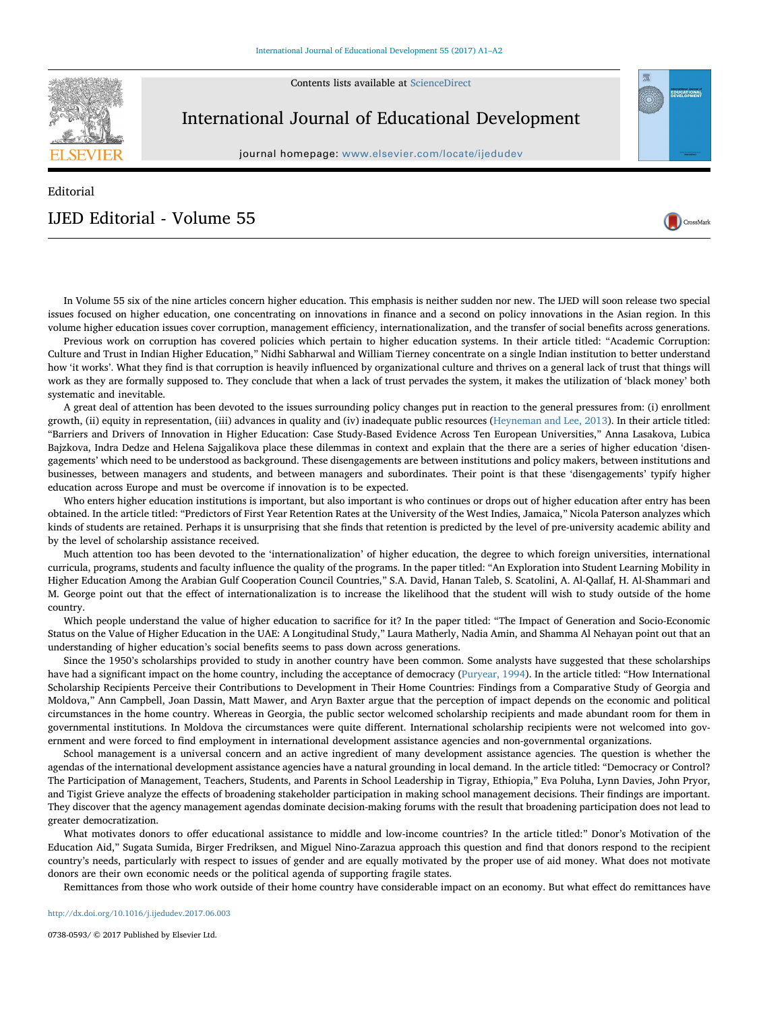Contents lists available at [ScienceDirect](http://www.sciencedirect.com/science/journal/07380593)



International Journal of Educational Development

journal homepage: [www.elsevier.com/locate/ijedudev](http://www.elsevier.com/locate/ijedudev)

CrossMark

## Editorial IJED Editorial - Volume 55

In Volume 55 six of the nine articles concern higher education. This emphasis is neither sudden nor new. The IJED will soon release two special issues focused on higher education, one concentrating on innovations in finance and a second on policy innovations in the Asian region. In this volume higher education issues cover corruption, management efficiency, internationalization, and the transfer of social benefits across generations.

Previous work on corruption has covered policies which pertain to higher education systems. In their article titled: "Academic Corruption: Culture and Trust in Indian Higher Education," Nidhi Sabharwal and William Tierney concentrate on a single Indian institution to better understand how 'it works'. What they find is that corruption is heavily influenced by organizational culture and thrives on a general lack of trust that things will work as they are formally supposed to. They conclude that when a lack of trust pervades the system, it makes the utilization of 'black money' both systematic and inevitable.

A great deal of attention has been devoted to the issues surrounding policy changes put in reaction to the general pressures from: (i) enrollment growth, (ii) equity in representation, (iii) advances in quality and (iv) inadequate public resources [\(Heyneman and Lee, 2013\)](#page-1-0). In their article titled: "Barriers and Drivers of Innovation in Higher Education: Case Study-Based Evidence Across Ten European Universities," Anna Lasakova, Lubica Bajzkova, Indra Dedze and Helena Sajgalikova place these dilemmas in context and explain that the there are a series of higher education 'disengagements' which need to be understood as background. These disengagements are between institutions and policy makers, between institutions and businesses, between managers and students, and between managers and subordinates. Their point is that these 'disengagements' typify higher education across Europe and must be overcome if innovation is to be expected.

Who enters higher education institutions is important, but also important is who continues or drops out of higher education after entry has been obtained. In the article titled: "Predictors of First Year Retention Rates at the University of the West Indies, Jamaica," Nicola Paterson analyzes which kinds of students are retained. Perhaps it is unsurprising that she finds that retention is predicted by the level of pre-university academic ability and by the level of scholarship assistance received.

Much attention too has been devoted to the 'internationalization' of higher education, the degree to which foreign universities, international curricula, programs, students and faculty influence the quality of the programs. In the paper titled: "An Exploration into Student Learning Mobility in Higher Education Among the Arabian Gulf Cooperation Council Countries," S.A. David, Hanan Taleb, S. Scatolini, A. Al-Qallaf, H. Al-Shammari and M. George point out that the effect of internationalization is to increase the likelihood that the student will wish to study outside of the home country.

Which people understand the value of higher education to sacrifice for it? In the paper titled: "The Impact of Generation and Socio-Economic Status on the Value of Higher Education in the UAE: A Longitudinal Study," Laura Matherly, Nadia Amin, and Shamma Al Nehayan point out that an understanding of higher education's social benefits seems to pass down across generations.

Since the 1950's scholarships provided to study in another country have been common. Some analysts have suggested that these scholarships have had a significant impact on the home country, including the acceptance of democracy [\(Puryear, 1994](#page-1-1)). In the article titled: "How International Scholarship Recipients Perceive their Contributions to Development in Their Home Countries: Findings from a Comparative Study of Georgia and Moldova," Ann Campbell, Joan Dassin, Matt Mawer, and Aryn Baxter argue that the perception of impact depends on the economic and political circumstances in the home country. Whereas in Georgia, the public sector welcomed scholarship recipients and made abundant room for them in governmental institutions. In Moldova the circumstances were quite different. International scholarship recipients were not welcomed into government and were forced to find employment in international development assistance agencies and non-governmental organizations.

School management is a universal concern and an active ingredient of many development assistance agencies. The question is whether the agendas of the international development assistance agencies have a natural grounding in local demand. In the article titled: "Democracy or Control? The Participation of Management, Teachers, Students, and Parents in School Leadership in Tigray, Ethiopia," Eva Poluha, Lynn Davies, John Pryor, and Tigist Grieve analyze the effects of broadening stakeholder participation in making school management decisions. Their findings are important. They discover that the agency management agendas dominate decision-making forums with the result that broadening participation does not lead to greater democratization.

What motivates donors to offer educational assistance to middle and low-income countries? In the article titled:" Donor's Motivation of the Education Aid," Sugata Sumida, Birger Fredriksen, and Miguel Nino-Zarazua approach this question and find that donors respond to the recipient country's needs, particularly with respect to issues of gender and are equally motivated by the proper use of aid money. What does not motivate donors are their own economic needs or the political agenda of supporting fragile states.

Remittances from those who work outside of their home country have considerable impact on an economy. But what effect do remittances have

<http://dx.doi.org/10.1016/j.ijedudev.2017.06.003>

0738-0593/ © 2017 Published by Elsevier Ltd.